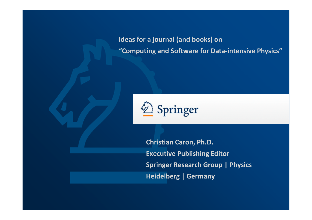**Ideas for a journal (and books) on "Computing and Software for Data-intensive Physics"**



**Christian Caron, Ph.D.Executive Publishing Editor Springer Research Group | Physics Heidelberg | Germany**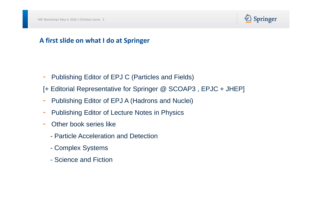

### **A first slide on what I do at Springer**

- -Publishing Editor of EPJ C (Particles and Fields)
- [+ Editorial Representative for Springer @ SCOAP3 , EPJC + JHEP]
- -Publishing Editor of EPJ A (Hadrons and Nuclei)
- -Publishing Editor of Lecture Notes in Physics
- - Other book series like
	- Particle Acceleration and Detection
	- Complex Systems
	- Science and Fiction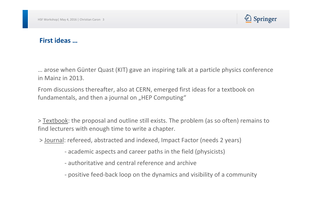

#### **First ideas …**

… arose when Günter Quast (KIT) gave an inspiring talk at a particle physics conference in Mainz in 2013.

From discussions thereafter, also at CERN, emerged first ideas for a textbook on fundamentals, and then a journal on "HEP Computing"

> Textbook: the proposal and outline still exists. The problem (as so often) remains to find lecturers with enough time to write a chapter.

- > Journal: refereed, abstracted and indexed, Impact Factor (needs 2 years)
	- academic aspects and career paths in the field (physicists)
	- authoritative and central reference and archive
	- positive feed-back loop on the dynamics and visibility of a community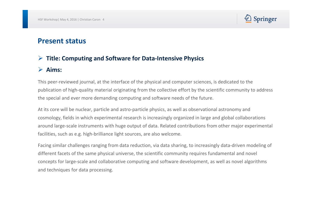

### **Present status**

# **Title: Computing and Software for Data-Intensive Physics**

# **Aims:**

This peer-reviewed journal, at the interface of the physical and computer sciences, is dedicated to the publication of high-quality material originating from the collective effort by the scientific community to address the special and ever more demanding computing and software needs of the future.

At its core will be nuclear, particle and astro-particle physics, as well as observational astronomy and cosmology, fields in which experimental research is increasingly organized in large and global collaborations around large-scale instruments with huge output of data. Related contributions from other major experimental facilities, such as e.g. high-brilliance light sources, are also welcome.

Facing similar challenges ranging from data reduction, via data sharing, to increasingly data-driven modeling of different facets of the same physical universe, the scientific community requires fundamental and novel concepts for large-scale and collaborative computing and software development, as well as novel algorithms and techniques for data processing.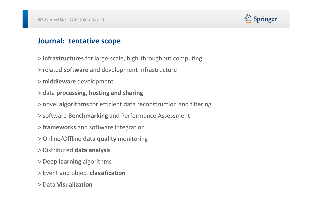

## **Journal: tentative scope**

- > **infrastructures** for large-scale, high-throughput computing
- > related **software** and development Infrastructure
- > **middleware** development
- > data **processing, hosting and sharing**
- > novel **algorithms** for efficient data reconstruction and filtering
- > software **Benchmarking** and Performance Assessment
- > **frameworks** and software integration
- > Online/Offline **data quality** monitoring
- > Distributed **data analysis**
- > **Deep learning** algorithms
- > Event and object **classification**
- > Data **Visualization**